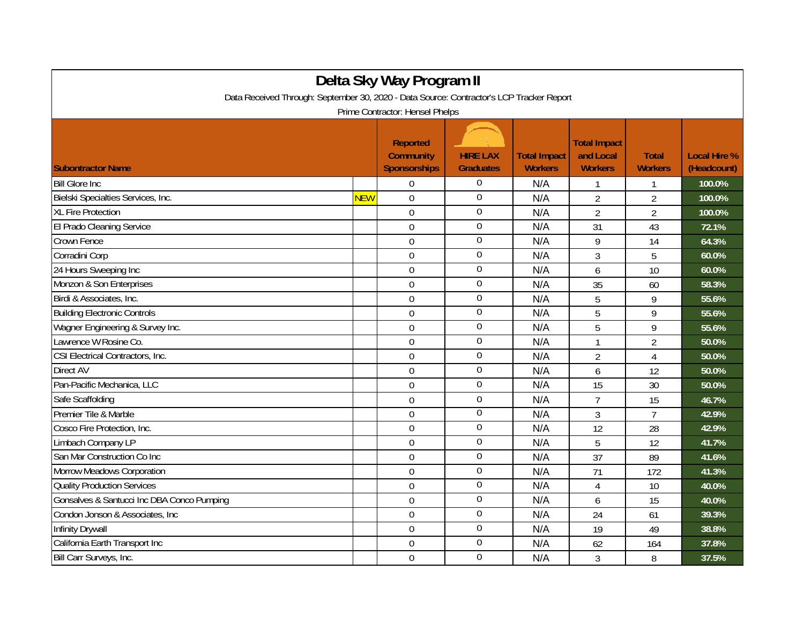| Delta Sky Way Program II                                                                                                    |            |                                                            |                                     |                                       |                                                    |                                |                                    |  |
|-----------------------------------------------------------------------------------------------------------------------------|------------|------------------------------------------------------------|-------------------------------------|---------------------------------------|----------------------------------------------------|--------------------------------|------------------------------------|--|
| Data Received Through: September 30, 2020 - Data Source: Contractor's LCP Tracker Report<br>Prime Contractor: Hensel Phelps |            |                                                            |                                     |                                       |                                                    |                                |                                    |  |
| <b>Subontractor Name</b>                                                                                                    |            | <b>Reported</b><br><b>Community</b><br><b>Sponsorships</b> | <b>HIRE LAX</b><br><b>Graduates</b> | <b>Total Impact</b><br><b>Workers</b> | <b>Total Impact</b><br>and Local<br><b>Workers</b> | <b>Total</b><br><b>Workers</b> | <b>Local Hire %</b><br>(Headcount) |  |
| <b>Bill Glore Inc.</b>                                                                                                      |            | $\Omega$                                                   | $\Omega$                            | N/A                                   |                                                    | 1                              | 100.0%                             |  |
| Bielski Specialties Services, Inc.                                                                                          | <b>NEW</b> | $\mathbf 0$                                                | $\mathbf 0$                         | N/A                                   | $\overline{2}$                                     | $\overline{2}$                 | 100.0%                             |  |
| <b>XL Fire Protection</b>                                                                                                   |            | $\overline{0}$                                             | $\boldsymbol{0}$                    | N/A                                   | $\overline{2}$                                     | $\overline{2}$                 | 100.0%                             |  |
| El Prado Cleaning Service                                                                                                   |            | $\mathbf 0$                                                | $\boldsymbol{0}$                    | N/A                                   | 31                                                 | 43                             | 72.1%                              |  |
| Crown Fence                                                                                                                 |            | $\overline{0}$                                             | $\mathbf 0$                         | N/A                                   | 9                                                  | 14                             | 64.3%                              |  |
| Corradini Corp                                                                                                              |            | $\Omega$                                                   | $\mathbf 0$                         | N/A                                   | 3                                                  | 5                              | 60.0%                              |  |
| 24 Hours Sweeping Inc                                                                                                       |            | $\mathbf 0$                                                | $\overline{0}$                      | N/A                                   | 6                                                  | 10                             | 60.0%                              |  |
| Monzon & Son Enterprises                                                                                                    |            | $\mathbf 0$                                                | $\boldsymbol{0}$                    | N/A                                   | 35                                                 | 60                             | 58.3%                              |  |
| Birdi & Associates, Inc.                                                                                                    |            | $\mathbf 0$                                                | $\boldsymbol{0}$                    | N/A                                   | 5                                                  | 9                              | 55.6%                              |  |
| <b>Building Electronic Controls</b>                                                                                         |            | $\overline{0}$                                             | $\boldsymbol{0}$                    | N/A                                   | 5                                                  | 9                              | 55.6%                              |  |
| Wagner Engineering & Survey Inc.                                                                                            |            | $\Omega$                                                   | $\mathbf 0$                         | N/A                                   | 5                                                  | 9                              | 55.6%                              |  |
| Lawrence W Rosine Co.                                                                                                       |            | $\overline{0}$                                             | $\overline{0}$                      | N/A                                   | $\mathbf{1}$                                       | $\overline{2}$                 | 50.0%                              |  |
| CSI Electrical Contractors, Inc.                                                                                            |            | $\overline{0}$                                             | $\boldsymbol{0}$                    | N/A                                   | $\overline{2}$                                     | $\overline{4}$                 | 50.0%                              |  |
| Direct AV                                                                                                                   |            | $\mathbf 0$                                                | $\boldsymbol{0}$                    | N/A                                   | 6                                                  | 12                             | 50.0%                              |  |
| Pan-Pacific Mechanica, LLC                                                                                                  |            | $\mathbf 0$                                                | $\boldsymbol{0}$                    | N/A                                   | 15                                                 | 30                             | 50.0%                              |  |
| Safe Scaffolding                                                                                                            |            | $\overline{0}$                                             | $\boldsymbol{0}$                    | N/A                                   | $\overline{7}$                                     | 15                             | 46.7%                              |  |
| Premier Tile & Marble                                                                                                       |            | $\overline{0}$                                             | $\overline{0}$                      | N/A                                   | 3                                                  | $\overline{7}$                 | 42.9%                              |  |
| Cosco Fire Protection, Inc.                                                                                                 |            | $\Omega$                                                   | $\overline{0}$                      | N/A                                   | 12                                                 | 28                             | 42.9%                              |  |
| Limbach Company LP                                                                                                          |            | $\mathbf 0$                                                | $\boldsymbol{0}$                    | N/A                                   | 5                                                  | 12                             | 41.7%                              |  |
| San Mar Construction Co Inc                                                                                                 |            | $\mathbf 0$                                                | $\boldsymbol{0}$                    | N/A                                   | 37                                                 | 89                             | 41.6%                              |  |
| Morrow Meadows Corporation                                                                                                  |            | $\mathbf 0$                                                | $\boldsymbol{0}$                    | N/A                                   | 71                                                 | 172                            | 41.3%                              |  |
| <b>Quality Production Services</b>                                                                                          |            | $\overline{0}$                                             | $\overline{0}$                      | N/A                                   | $\overline{4}$                                     | 10                             | 40.0%                              |  |
| Gonsalves & Santucci Inc DBA Conco Pumping                                                                                  |            | $\Omega$                                                   | $\mathbf 0$                         | N/A                                   | 6                                                  | 15                             | 40.0%                              |  |
| Condon Jonson & Associates, Inc.                                                                                            |            | $\Omega$                                                   | $\mathbf 0$                         | N/A                                   | 24                                                 | 61                             | 39.3%                              |  |
| Infinity Drywall                                                                                                            |            | $\mathbf 0$                                                | $\boldsymbol{0}$                    | N/A                                   | 19                                                 | 49                             | 38.8%                              |  |
| California Earth Transport Inc                                                                                              |            | $\overline{0}$                                             | $\boldsymbol{0}$                    | N/A                                   | 62                                                 | 164                            | 37.8%                              |  |
| Bill Carr Surveys, Inc.                                                                                                     |            | $\mathbf 0$                                                | $\boldsymbol{0}$                    | N/A                                   | $\overline{3}$                                     | 8                              | 37.5%                              |  |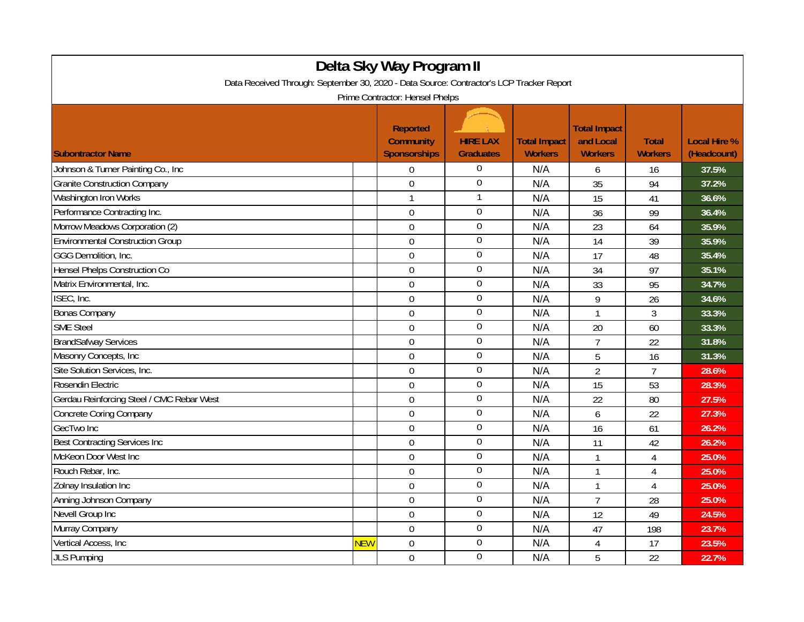| Delta Sky Way Program II                                                                                                    |            |                                                            |                                     |                                       |                                                    |                                |                                    |  |
|-----------------------------------------------------------------------------------------------------------------------------|------------|------------------------------------------------------------|-------------------------------------|---------------------------------------|----------------------------------------------------|--------------------------------|------------------------------------|--|
| Data Received Through: September 30, 2020 - Data Source: Contractor's LCP Tracker Report<br>Prime Contractor: Hensel Phelps |            |                                                            |                                     |                                       |                                                    |                                |                                    |  |
| <b>Subontractor Name</b>                                                                                                    |            | <b>Reported</b><br><b>Community</b><br><b>Sponsorships</b> | <b>HIRE LAX</b><br><b>Graduates</b> | <b>Total Impact</b><br><b>Workers</b> | <b>Total Impact</b><br>and Local<br><b>Workers</b> | <b>Total</b><br><b>Workers</b> | <b>Local Hire %</b><br>(Headcount) |  |
| Johnson & Turner Painting Co., Inc.                                                                                         |            | $\Omega$                                                   | $\Omega$                            | N/A                                   | 6                                                  | 16                             | 37.5%                              |  |
| <b>Granite Construction Company</b>                                                                                         |            | $\overline{0}$                                             | $\overline{0}$                      | N/A                                   | 35                                                 | 94                             | 37.2%                              |  |
| Washington Iron Works                                                                                                       |            | $\mathbf{1}$                                               | $\mathbf{1}$                        | N/A                                   | 15                                                 | 41                             | 36.6%                              |  |
| Performance Contracting Inc.                                                                                                |            | $\boldsymbol{0}$                                           | $\overline{0}$                      | N/A                                   | 36                                                 | 99                             | 36.4%                              |  |
| Morrow Meadows Corporation (2)                                                                                              |            | $\mathbf 0$                                                | $\overline{0}$                      | N/A                                   | 23                                                 | 64                             | 35.9%                              |  |
| <b>Environmental Construction Group</b>                                                                                     |            | $\overline{0}$                                             | $\boldsymbol{0}$                    | N/A                                   | 14                                                 | 39                             | 35.9%                              |  |
| GGG Demolition, Inc.                                                                                                        |            | $\mathbf 0$                                                | $\boldsymbol{0}$                    | N/A                                   | 17                                                 | 48                             | 35.4%                              |  |
| Hensel Phelps Construction Co                                                                                               |            | $\overline{0}$                                             | $\boldsymbol{0}$                    | N/A                                   | 34                                                 | 97                             | 35.1%                              |  |
| Matrix Environmental, Inc.                                                                                                  |            | $\overline{0}$                                             | $\overline{0}$                      | N/A                                   | 33                                                 | 95                             | 34.7%                              |  |
| ISEC, Inc.                                                                                                                  |            | $\overline{0}$                                             | $\overline{0}$                      | N/A                                   | 9                                                  | 26                             | 34.6%                              |  |
| <b>Bonas Company</b>                                                                                                        |            | $\mathbf 0$                                                | $\mathbf 0$                         | N/A                                   | $\mathbf{1}$                                       | 3                              | 33.3%                              |  |
| <b>SME Steel</b>                                                                                                            |            | $\overline{0}$                                             | $\boldsymbol{0}$                    | N/A                                   | 20                                                 | 60                             | 33.3%                              |  |
| <b>BrandSafway Services</b>                                                                                                 |            | $\boldsymbol{0}$                                           | $\boldsymbol{0}$                    | N/A                                   | $\overline{7}$                                     | 22                             | 31.8%                              |  |
| Masonry Concepts, Inc                                                                                                       |            | $\boldsymbol{0}$                                           | $\mathbf 0$                         | N/A                                   | 5                                                  | 16                             | 31.3%                              |  |
| Site Solution Services, Inc.                                                                                                |            | $\mathbf 0$                                                | $\boldsymbol{0}$                    | N/A                                   | $\overline{2}$                                     | $\overline{7}$                 | 28.6%                              |  |
| Rosendin Electric                                                                                                           |            | $\mathbf 0$                                                | $\boldsymbol{0}$                    | N/A                                   | 15                                                 | 53                             | 28.3%                              |  |
| Gerdau Reinforcing Steel / CMC Rebar West                                                                                   |            | $\mathbf 0$                                                | $\boldsymbol{0}$                    | N/A                                   | 22                                                 | 80                             | 27.5%                              |  |
| <b>Concrete Coring Company</b>                                                                                              |            | $\overline{0}$                                             | $\boldsymbol{0}$                    | N/A                                   | 6                                                  | 22                             | 27.3%                              |  |
| GecTwo Inc                                                                                                                  |            | $\mathbf 0$                                                | $\mathbf 0$                         | N/A                                   | 16                                                 | 61                             | 26.2%                              |  |
| <b>Best Contracting Services Inc</b>                                                                                        |            | $\mathbf 0$                                                | $\overline{0}$                      | N/A                                   | 11                                                 | 42                             | 26.2%                              |  |
| McKeon Door West Inc                                                                                                        |            | $\overline{0}$                                             | $\overline{0}$                      | N/A                                   | $\mathbf{1}$                                       | $\overline{4}$                 | 25.0%                              |  |
| Rouch Rebar, Inc.                                                                                                           |            | $\overline{0}$                                             | $\boldsymbol{0}$                    | N/A                                   | $\mathbf{1}$                                       | $\overline{4}$                 | 25.0%                              |  |
| Zolnay Insulation Inc                                                                                                       |            | $\mathbf 0$                                                | $\mathbf 0$                         | N/A                                   | $\mathbf{1}$                                       | $\overline{4}$                 | 25.0%                              |  |
| Anning Johnson Company                                                                                                      |            | $\overline{0}$                                             | $\boldsymbol{0}$                    | N/A                                   | $\overline{7}$                                     | 28                             | 25.0%                              |  |
| Nevell Group Inc                                                                                                            |            | $\mathbf 0$                                                | $\overline{0}$                      | N/A                                   | 12                                                 | 49                             | 24.5%                              |  |
| Murray Company                                                                                                              |            | $\mathbf 0$                                                | $\boldsymbol{0}$                    | N/A                                   | 47                                                 | 198                            | 23.7%                              |  |
| Vertical Access, Inc.                                                                                                       | <b>NEW</b> | $\overline{0}$                                             | $\boldsymbol{0}$                    | N/A                                   | 4                                                  | 17                             | 23.5%                              |  |
| <b>JLS Pumping</b>                                                                                                          |            | $\mathbf 0$                                                | $\mathbf 0$                         | N/A                                   | 5                                                  | 22                             | 22.7%                              |  |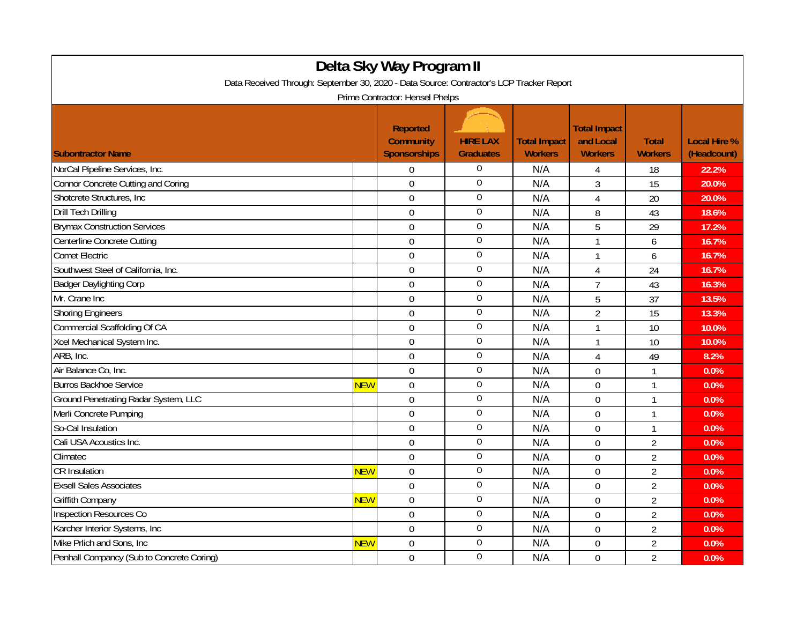| Delta Sky Way Program II                                                                                                    |            |                                         |                  |                                       |                             |                                |                     |  |
|-----------------------------------------------------------------------------------------------------------------------------|------------|-----------------------------------------|------------------|---------------------------------------|-----------------------------|--------------------------------|---------------------|--|
| Data Received Through: September 30, 2020 - Data Source: Contractor's LCP Tracker Report<br>Prime Contractor: Hensel Phelps |            |                                         |                  |                                       |                             |                                |                     |  |
|                                                                                                                             |            | Reported                                | <b>HIRE LAX</b>  |                                       | <b>Total Impact</b>         |                                | <b>Local Hire %</b> |  |
| <b>Subontractor Name</b>                                                                                                    |            | <b>Community</b><br><b>Sponsorships</b> | <b>Graduates</b> | <b>Total Impact</b><br><b>Workers</b> | and Local<br><b>Workers</b> | <b>Total</b><br><b>Workers</b> | (Headcount)         |  |
| NorCal Pipeline Services, Inc.                                                                                              |            | $\Omega$                                | $\boldsymbol{0}$ | N/A                                   | 4                           | 18                             | 22.2%               |  |
| <b>Connor Concrete Cutting and Coring</b>                                                                                   |            | $\overline{0}$                          | $\overline{0}$   | N/A                                   | 3                           | 15                             | 20.0%               |  |
| Shotcrete Structures, Inc                                                                                                   |            | $\overline{0}$                          | $\overline{0}$   | N/A                                   | 4                           | 20                             | 20.0%               |  |
| <b>Drill Tech Drilling</b>                                                                                                  |            | $\mathbf 0$                             | $\boldsymbol{0}$ | N/A                                   | 8                           | 43                             | 18.6%               |  |
| <b>Brymax Construction Services</b>                                                                                         |            | $\mathbf 0$                             | $\overline{0}$   | N/A                                   | 5                           | 29                             | 17.2%               |  |
| Centerline Concrete Cutting                                                                                                 |            | $\overline{0}$                          | $\overline{0}$   | N/A                                   | $\mathbf{1}$                | 6                              | 16.7%               |  |
| <b>Comet Electric</b>                                                                                                       |            | $\overline{0}$                          | $\mathbf{0}$     | N/A                                   | $\mathbf{1}$                | 6                              | 16.7%               |  |
| Southwest Steel of California, Inc.                                                                                         |            | $\mathbf 0$                             | $\boldsymbol{0}$ | N/A                                   | 4                           | 24                             | 16.7%               |  |
| <b>Badger Daylighting Corp</b>                                                                                              |            | $\mathbf 0$                             | $\overline{0}$   | N/A                                   | $\overline{7}$              | 43                             | 16.3%               |  |
| Mr. Crane Inc                                                                                                               |            | $\overline{0}$                          | $\overline{0}$   | N/A                                   | 5                           | 37                             | 13.5%               |  |
| <b>Shoring Engineers</b>                                                                                                    |            | $\overline{0}$                          | $\boldsymbol{0}$ | N/A                                   | $\overline{2}$              | 15                             | 13.3%               |  |
| <b>Commercial Scaffolding Of CA</b>                                                                                         |            | $\mathbf 0$                             | $\boldsymbol{0}$ | N/A                                   | 1                           | 10                             | 10.0%               |  |
| Xcel Mechanical System Inc.                                                                                                 |            | $\overline{0}$                          | $\boldsymbol{0}$ | N/A                                   | $\mathbf{1}$                | 10                             | 10.0%               |  |
| ARB, Inc.                                                                                                                   |            | $\mathbf 0$                             | $\boldsymbol{0}$ | N/A                                   | 4                           | 49                             | 8.2%                |  |
| Air Balance Co, Inc.                                                                                                        |            | $\overline{0}$                          | $\boldsymbol{0}$ | N/A                                   | $\mathbf 0$                 | $\mathbf{1}$                   | 0.0%                |  |
| <b>Burros Backhoe Service</b>                                                                                               | <b>NEW</b> | $\mathbf 0$                             | $\mathbf 0$      | N/A                                   | 0                           | 1                              | 0.0%                |  |
| Ground Penetrating Radar System, LLC                                                                                        |            | $\boldsymbol{0}$                        | $\overline{0}$   | N/A                                   | $\overline{0}$              | 1                              | 0.0%                |  |
| Merli Concrete Pumping                                                                                                      |            | $\overline{0}$                          | $\boldsymbol{0}$ | N/A                                   | $\overline{0}$              | $\mathbf{1}$                   | 0.0%                |  |
| So-Cal Insulation                                                                                                           |            | $\overline{0}$                          | $\boldsymbol{0}$ | N/A                                   | 0                           | $\mathbf{1}$                   | 0.0%                |  |
| Cali USA Acoustics Inc.                                                                                                     |            | $\mathbf 0$                             | $\mathbf 0$      | N/A                                   | 0                           | $\overline{2}$                 | 0.0%                |  |
| Climatec                                                                                                                    |            | $\overline{0}$                          | $\overline{0}$   | N/A                                   | 0                           | $\overline{2}$                 | 0.0%                |  |
| <b>CR</b> Insulation                                                                                                        | <b>NEW</b> | $\overline{0}$                          | $\overline{0}$   | N/A                                   | $\overline{0}$              | $\overline{2}$                 | 0.0%                |  |
| <b>Exsell Sales Associates</b>                                                                                              |            | $\overline{0}$                          | $\boldsymbol{0}$ | N/A                                   | $\overline{0}$              | $\overline{2}$                 | 0.0%                |  |
| <b>Griffith Company</b>                                                                                                     | <b>NEW</b> | $\mathbf 0$                             | $\boldsymbol{0}$ | N/A                                   | 0                           | $\overline{2}$                 | 0.0%                |  |
| Inspection Resources Co                                                                                                     |            | $\mathbf 0$                             | $\overline{0}$   | N/A                                   | $\overline{0}$              | $\overline{2}$                 | 0.0%                |  |
| Karcher Interior Systems, Inc.                                                                                              |            | $\overline{0}$                          | $\overline{0}$   | N/A                                   | $\overline{0}$              | $\overline{2}$                 | 0.0%                |  |
| Mike Prlich and Sons, Inc.                                                                                                  | <b>NEW</b> | $\overline{0}$                          | $\overline{0}$   | N/A                                   | 0                           | $\overline{2}$                 | 0.0%                |  |
| Penhall Compancy (Sub to Concrete Coring)                                                                                   |            | $\mathbf 0$                             | $\mathbf{0}$     | N/A                                   | 0                           | $\overline{2}$                 | 0.0%                |  |